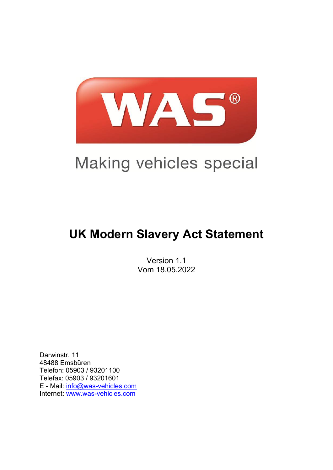

# Making vehicles special

# **UK Modern Slavery Act Statement**

Version 1.1 Vom 18.05.2022

Darwinstr. 11 48488 Emsbüren Telefon: 05903 / 93201100 Telefax: 05903 / 93201601 E - Mail: [info@was-vehicles.com](mailto:info@was-vehicles.com)  Internet: [www.was-vehicles.com](http://www.was-vehicles.com/)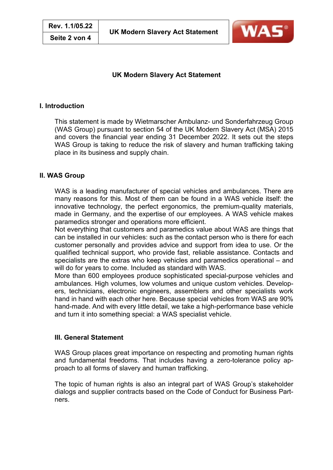

# **UK Modern Slavery Act Statement**

#### **I. Introduction**

This statement is made by Wietmarscher Ambulanz- und Sonderfahrzeug Group (WAS Group) pursuant to section 54 of the UK Modern Slavery Act (MSA) 2015 and covers the financial year ending 31 December 2022. It sets out the steps WAS Group is taking to reduce the risk of slavery and human trafficking taking place in its business and supply chain.

## **II. WAS Group**

WAS is a leading manufacturer of special vehicles and ambulances. There are many reasons for this. Most of them can be found in a WAS vehicle itself: the innovative technology, the perfect ergonomics, the premium-quality materials, made in Germany, and the expertise of our employees. A WAS vehicle makes paramedics stronger and operations more efficient.

Not everything that customers and paramedics value about WAS are things that can be installed in our vehicles: such as the contact person who is there for each customer personally and provides advice and support from idea to use. Or the qualified technical support, who provide fast, reliable assistance. Contacts and specialists are the extras who keep vehicles and paramedics operational – and will do for years to come. Included as standard with WAS.

More than 600 employees produce sophisticated special-purpose vehicles and ambulances. High volumes, low volumes and unique custom vehicles. Developers, technicians, electronic engineers, assemblers and other specialists work hand in hand with each other here. Because special vehicles from WAS are 90% hand-made. And with every little detail, we take a high-performance base vehicle and turn it into something special: a WAS specialist vehicle.

#### **III. General Statement**

WAS Group places great importance on respecting and promoting human rights and fundamental freedoms. That includes having a zero-tolerance policy approach to all forms of slavery and human trafficking.

The topic of human rights is also an integral part of WAS Group's stakeholder dialogs and supplier contracts based on the Code of Conduct for Business Partners.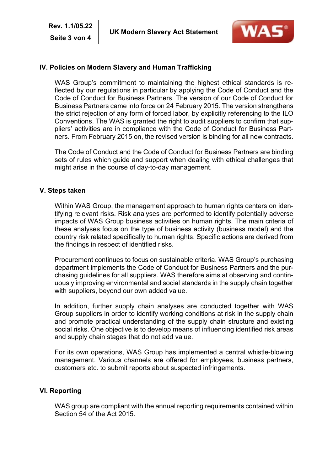

# **IV. Policies on Modern Slavery and Human Trafficking**

WAS Group's commitment to maintaining the highest ethical standards is reflected by our regulations in particular by applying the Code of Conduct and the Code of Conduct for Business Partners. The version of our Code of Conduct for Business Partners came into force on 24 February 2015. The version strengthens the strict rejection of any form of forced labor, by explicitly referencing to the ILO Conventions. The WAS is granted the right to audit suppliers to confirm that suppliers' activities are in compliance with the Code of Conduct for Business Partners. From February 2015 on, the revised version is binding for all new contracts.

The Code of Conduct and the Code of Conduct for Business Partners are binding sets of rules which guide and support when dealing with ethical challenges that might arise in the course of day-to-day management.

#### **V. Steps taken**

Within WAS Group, the management approach to human rights centers on identifying relevant risks. Risk analyses are performed to identify potentially adverse impacts of WAS Group business activities on human rights. The main criteria of these analyses focus on the type of business activity (business model) and the country risk related specifically to human rights. Specific actions are derived from the findings in respect of identified risks.

Procurement continues to focus on sustainable criteria. WAS Group's purchasing department implements the Code of Conduct for Business Partners and the purchasing guidelines for all suppliers. WAS therefore aims at observing and continuously improving environmental and social standards in the supply chain together with suppliers, beyond our own added value.

In addition, further supply chain analyses are conducted together with WAS Group suppliers in order to identify working conditions at risk in the supply chain and promote practical understanding of the supply chain structure and existing social risks. One objective is to develop means of influencing identified risk areas and supply chain stages that do not add value.

For its own operations, WAS Group has implemented a central whistle-blowing management. Various channels are offered for employees, business partners, customers etc. to submit reports about suspected infringements.

## **VI. Reporting**

WAS group are compliant with the annual reporting requirements contained within Section 54 of the Act 2015.